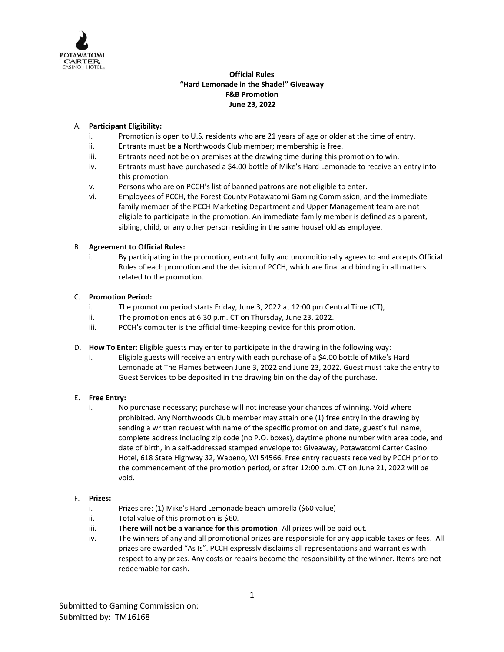

## **Official Rules "Hard Lemonade in the Shade!" Giveaway F&B Promotion June 23, 2022**

## A. **Participant Eligibility:**

- i. Promotion is open to U.S. residents who are 21 years of age or older at the time of entry.
- ii. Entrants must be a Northwoods Club member; membership is free.
- iii. Entrants need not be on premises at the drawing time during this promotion to win.
- iv. Entrants must have purchased a \$4.00 bottle of Mike's Hard Lemonade to receive an entry into this promotion.
- v. Persons who are on PCCH's list of banned patrons are not eligible to enter.
- vi. Employees of PCCH, the Forest County Potawatomi Gaming Commission, and the immediate family member of the PCCH Marketing Department and Upper Management team are not eligible to participate in the promotion. An immediate family member is defined as a parent, sibling, child, or any other person residing in the same household as employee.

## B. **Agreement to Official Rules:**

i. By participating in the promotion, entrant fully and unconditionally agrees to and accepts Official Rules of each promotion and the decision of PCCH, which are final and binding in all matters related to the promotion.

## C. **Promotion Period:**

- i. The promotion period starts Friday, June 3, 2022 at 12:00 pm Central Time (CT),
- ii. The promotion ends at 6:30 p.m. CT on Thursday, June 23, 2022.
- iii. PCCH's computer is the official time-keeping device for this promotion.
- D. **How To Enter:** Eligible guests may enter to participate in the drawing in the following way:
	- i. Eligible guests will receive an entry with each purchase of a \$4.00 bottle of Mike's Hard Lemonade at The Flames between June 3, 2022 and June 23, 2022. Guest must take the entry to Guest Services to be deposited in the drawing bin on the day of the purchase.

#### E. **Free Entry:**

i. No purchase necessary; purchase will not increase your chances of winning. Void where prohibited. Any Northwoods Club member may attain one (1) free entry in the drawing by sending a written request with name of the specific promotion and date, guest's full name, complete address including zip code (no P.O. boxes), daytime phone number with area code, and date of birth, in a self-addressed stamped envelope to: Giveaway, Potawatomi Carter Casino Hotel, 618 State Highway 32, Wabeno, WI 54566. Free entry requests received by PCCH prior to the commencement of the promotion period, or after 12:00 p.m. CT on June 21, 2022 will be void.

#### F. **Prizes:**

- i. Prizes are: (1) Mike's Hard Lemonade beach umbrella (\$60 value)
- ii. Total value of this promotion is \$60.
- iii. **There will not be a variance for this promotion**. All prizes will be paid out.
- iv. The winners of any and all promotional prizes are responsible for any applicable taxes or fees. All prizes are awarded "As Is". PCCH expressly disclaims all representations and warranties with respect to any prizes. Any costs or repairs become the responsibility of the winner. Items are not redeemable for cash.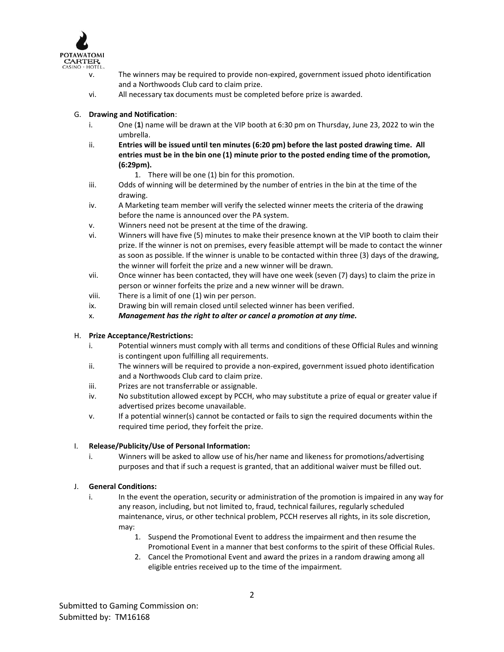

- v. The winners may be required to provide non-expired, government issued photo identification and a Northwoods Club card to claim prize.
- vi. All necessary tax documents must be completed before prize is awarded.

#### G. **Drawing and Notification**:

- i. One (**1**) name will be drawn at the VIP booth at 6:30 pm on Thursday, June 23, 2022 to win the umbrella.
- ii. **Entries will be issued until ten minutes (6:20 pm) before the last posted drawing time. All entries must be in the bin one (1) minute prior to the posted ending time of the promotion, (6:29pm).**

1. There will be one (1) bin for this promotion.

- iii. Odds of winning will be determined by the number of entries in the bin at the time of the drawing.
- iv. A Marketing team member will verify the selected winner meets the criteria of the drawing before the name is announced over the PA system.
- v. Winners need not be present at the time of the drawing.
- vi. Winners will have five (5) minutes to make their presence known at the VIP booth to claim their prize. If the winner is not on premises, every feasible attempt will be made to contact the winner as soon as possible. If the winner is unable to be contacted within three (3) days of the drawing, the winner will forfeit the prize and a new winner will be drawn.
- vii. Once winner has been contacted, they will have one week (seven (7) days) to claim the prize in person or winner forfeits the prize and a new winner will be drawn.
- viii. There is a limit of one (1) win per person.
- ix. Drawing bin will remain closed until selected winner has been verified.
- x. *Management has the right to alter or cancel a promotion at any time.*

#### H. **Prize Acceptance/Restrictions:**

- i. Potential winners must comply with all terms and conditions of these Official Rules and winning is contingent upon fulfilling all requirements.
- ii. The winners will be required to provide a non-expired, government issued photo identification and a Northwoods Club card to claim prize.
- iii. Prizes are not transferrable or assignable.
- iv. No substitution allowed except by PCCH, who may substitute a prize of equal or greater value if advertised prizes become unavailable.
- v. If a potential winner(s) cannot be contacted or fails to sign the required documents within the required time period, they forfeit the prize.

#### I. **Release/Publicity/Use of Personal Information:**

i. Winners will be asked to allow use of his/her name and likeness for promotions/advertising purposes and that if such a request is granted, that an additional waiver must be filled out.

#### J. **General Conditions:**

- i. In the event the operation, security or administration of the promotion is impaired in any way for any reason, including, but not limited to, fraud, technical failures, regularly scheduled maintenance, virus, or other technical problem, PCCH reserves all rights, in its sole discretion, may:
	- 1. Suspend the Promotional Event to address the impairment and then resume the Promotional Event in a manner that best conforms to the spirit of these Official Rules.
	- 2. Cancel the Promotional Event and award the prizes in a random drawing among all eligible entries received up to the time of the impairment.